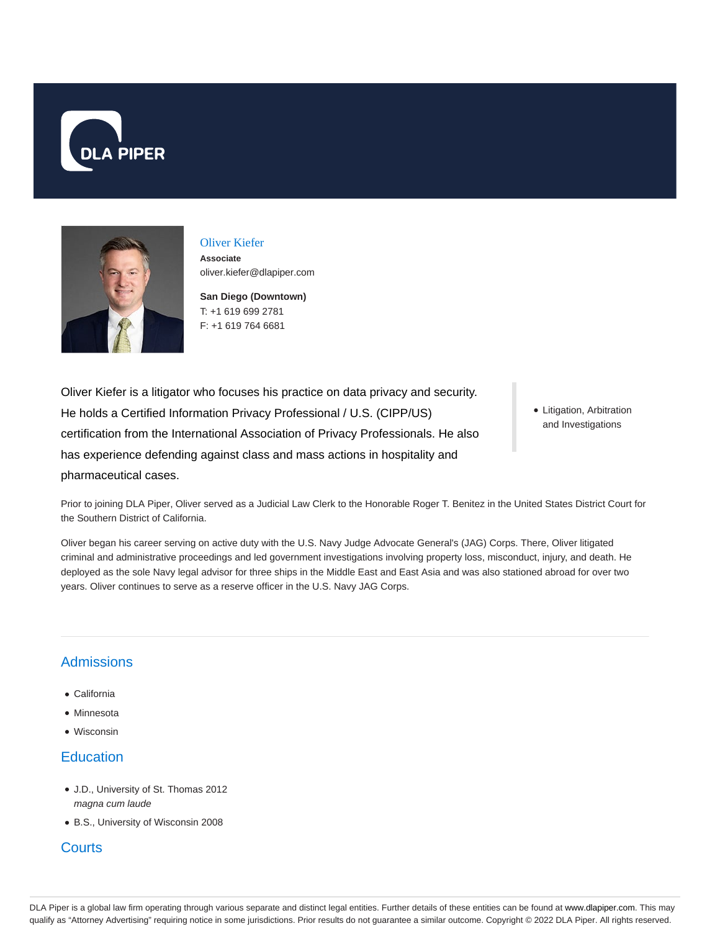



# Oliver Kiefer

**Associate** oliver.kiefer@dlapiper.com

**San Diego (Downtown)** T: +1 619 699 2781 F: +1 619 764 6681

Oliver Kiefer is a litigator who focuses his practice on data privacy and security. He holds a Certified Information Privacy Professional / U.S. (CIPP/US) certification from the International Association of Privacy Professionals. He also has experience defending against class and mass actions in hospitality and pharmaceutical cases.

Litigation, Arbitration and Investigations

Prior to joining DLA Piper, Oliver served as a Judicial Law Clerk to the Honorable Roger T. Benitez in the United States District Court for the Southern District of California.

Oliver began his career serving on active duty with the U.S. Navy Judge Advocate General's (JAG) Corps. There, Oliver litigated criminal and administrative proceedings and led government investigations involving property loss, misconduct, injury, and death. He deployed as the sole Navy legal advisor for three ships in the Middle East and East Asia and was also stationed abroad for over two years. Oliver continues to serve as a reserve officer in the U.S. Navy JAG Corps.

# Admissions

- California
- Minnesota
- Wisconsin

### **Education**

- J.D., University of St. Thomas 2012 magna cum laude
- B.S., University of Wisconsin 2008

#### **Courts**

DLA Piper is a global law firm operating through various separate and distinct legal entities. Further details of these entities can be found at www.dlapiper.com. This may qualify as "Attorney Advertising" requiring notice in some jurisdictions. Prior results do not guarantee a similar outcome. Copyright © 2022 DLA Piper. All rights reserved.